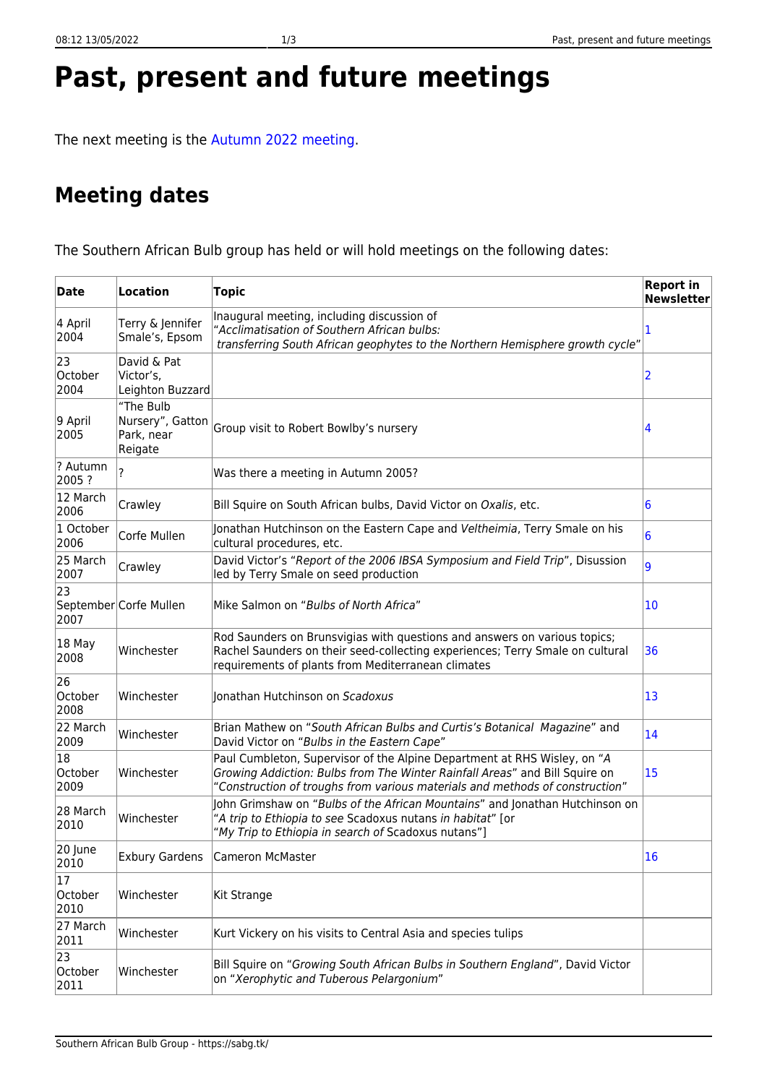|  |  | Past, present and future meetings |
|--|--|-----------------------------------|
|  |  |                                   |

The next meeting is the [Autumn 2022 meeting](https://sabg.tk/meetings:next:start).

## **Meeting dates**

The Southern African Bulb group has held or will hold meetings on the following dates:

| <b>Date</b>                        | <b>Location</b>                              | <b>Topic</b>                                                                                                                                                                                                                            | <b>Report in</b><br><b>Newsletter</b> |
|------------------------------------|----------------------------------------------|-----------------------------------------------------------------------------------------------------------------------------------------------------------------------------------------------------------------------------------------|---------------------------------------|
| 4 April<br>2004                    | Terry & Jennifer<br>Smale's, Epsom           | Inaugural meeting, including discussion of<br>"Acclimatisation of Southern African bulbs:<br>transferring South African geophytes to the Northern Hemisphere growth cycle"                                                              | 1                                     |
| 23<br>October<br>2004              | David & Pat<br>Victor's,<br>Leighton Buzzard |                                                                                                                                                                                                                                         | 2                                     |
| 9 April<br>2005                    | "The Bulb<br>Park, near<br>Reigate           | Nursery", Gatton Group visit to Robert Bowlby's nursery                                                                                                                                                                                 | 4                                     |
| ? Autumn<br>2005?                  | 2                                            | Was there a meeting in Autumn 2005?                                                                                                                                                                                                     |                                       |
| 12 March<br>2006                   | Crawley                                      | Bill Squire on South African bulbs, David Victor on Oxalis, etc.                                                                                                                                                                        | 6                                     |
| 1 October<br>2006                  | Corfe Mullen                                 | Jonathan Hutchinson on the Eastern Cape and Veltheimia, Terry Smale on his<br>cultural procedures, etc.                                                                                                                                 | $6\overline{6}$                       |
| 25 March<br>2007                   | Crawley                                      | David Victor's "Report of the 2006 IBSA Symposium and Field Trip", Disussion<br>led by Terry Smale on seed production                                                                                                                   | 9                                     |
| 23<br>2007                         | September Corfe Mullen                       | Mike Salmon on "Bulbs of North Africa"                                                                                                                                                                                                  | 10                                    |
| 18 May<br>2008                     | Winchester                                   | Rod Saunders on Brunsvigias with questions and answers on various topics;<br>Rachel Saunders on their seed-collecting experiences; Terry Smale on cultural<br>requirements of plants from Mediterranean climates                        | 36                                    |
| 26<br>October<br>2008              | Winchester                                   | Jonathan Hutchinson on Scadoxus                                                                                                                                                                                                         | 13                                    |
| 22 March<br>2009                   | Winchester                                   | Brian Mathew on "South African Bulbs and Curtis's Botanical Magazine" and<br>David Victor on "Bulbs in the Eastern Cape"                                                                                                                | 14                                    |
| 18<br>October<br>2009              | Winchester                                   | Paul Cumbleton, Supervisor of the Alpine Department at RHS Wisley, on "A<br>Growing Addiction: Bulbs from The Winter Rainfall Areas" and Bill Squire on<br>"Construction of troughs from various materials and methods of construction" | 15                                    |
| 28 March<br>2010                   | Winchester                                   | John Grimshaw on "Bulbs of the African Mountains" and Jonathan Hutchinson on<br>"A trip to Ethiopia to see Scadoxus nutans in habitat" [or<br>"My Trip to Ethiopia in search of Scadoxus nutans"]                                       |                                       |
| 20 June<br>2010                    |                                              | Exbury Gardens   Cameron McMaster                                                                                                                                                                                                       | 16                                    |
| $\overline{17}$<br>October<br>2010 | Winchester                                   | <b>Kit Strange</b>                                                                                                                                                                                                                      |                                       |
| 27 March<br>2011                   | Winchester                                   | Kurt Vickery on his visits to Central Asia and species tulips                                                                                                                                                                           |                                       |
| 23<br>October<br>2011              | Winchester                                   | Bill Squire on "Growing South African Bulbs in Southern England", David Victor<br>on "Xerophytic and Tuberous Pelargonium"                                                                                                              |                                       |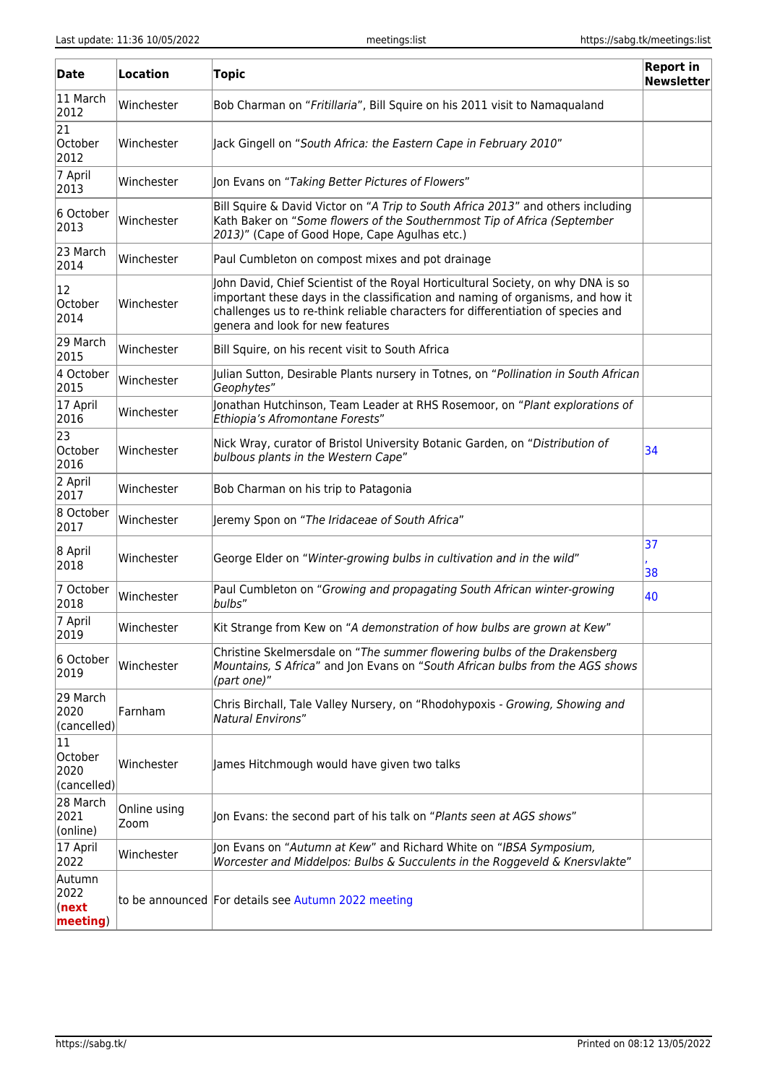| <b>Date</b>                          | Location                                                                                     | <b>Topic</b>                                                                                                                                                                                                                                                                               | <b>Report in</b><br><b>Newsletter</b> |
|--------------------------------------|----------------------------------------------------------------------------------------------|--------------------------------------------------------------------------------------------------------------------------------------------------------------------------------------------------------------------------------------------------------------------------------------------|---------------------------------------|
| 11 March<br>2012                     | Winchester                                                                                   | Bob Charman on "Fritillaria", Bill Squire on his 2011 visit to Namaqualand                                                                                                                                                                                                                 |                                       |
| 21<br>October<br>2012                | Winchester                                                                                   | Jack Gingell on "South Africa: the Eastern Cape in February 2010"                                                                                                                                                                                                                          |                                       |
| 7 April<br>2013                      | Winchester                                                                                   | Jon Evans on "Taking Better Pictures of Flowers"                                                                                                                                                                                                                                           |                                       |
| 6 October<br>2013                    | Winchester                                                                                   | Bill Squire & David Victor on "A Trip to South Africa 2013" and others including<br>Kath Baker on "Some flowers of the Southernmost Tip of Africa (September<br>2013)" (Cape of Good Hope, Cape Agulhas etc.)                                                                              |                                       |
| 23 March<br>2014                     | Winchester                                                                                   | Paul Cumbleton on compost mixes and pot drainage                                                                                                                                                                                                                                           |                                       |
| 12<br>October<br>2014                | Winchester                                                                                   | John David, Chief Scientist of the Royal Horticultural Society, on why DNA is so<br>important these days in the classification and naming of organisms, and how it<br>challenges us to re-think reliable characters for differentiation of species and<br>genera and look for new features |                                       |
| 29 March<br>2015                     | Winchester                                                                                   | Bill Squire, on his recent visit to South Africa                                                                                                                                                                                                                                           |                                       |
| 4 October<br>2015                    | Winchester                                                                                   | Julian Sutton, Desirable Plants nursery in Totnes, on "Pollination in South African<br>Geophytes"                                                                                                                                                                                          |                                       |
| 17 April<br>2016                     | Winchester                                                                                   | Jonathan Hutchinson, Team Leader at RHS Rosemoor, on "Plant explorations of<br>Ethiopia's Afromontane Forests"                                                                                                                                                                             |                                       |
| 23<br>October<br>2016                | lWinchester                                                                                  | Nick Wray, curator of Bristol University Botanic Garden, on "Distribution of<br>bulbous plants in the Western Cape"                                                                                                                                                                        | 34                                    |
| 2 April<br>2017                      | Winchester                                                                                   | Bob Charman on his trip to Patagonia                                                                                                                                                                                                                                                       |                                       |
| 8 October<br>2017                    | Winchester                                                                                   | Jeremy Spon on "The Iridaceae of South Africa"                                                                                                                                                                                                                                             |                                       |
| 8 April<br>2018                      | Winchester                                                                                   | George Elder on "Winter-growing bulbs in cultivation and in the wild"                                                                                                                                                                                                                      | 37<br>38                              |
| 7 October<br>2018                    | Winchester                                                                                   | Paul Cumbleton on "Growing and propagating South African winter-growing<br>bulbs"                                                                                                                                                                                                          | 40                                    |
| 7 April<br>2019                      | Winchester                                                                                   | Kit Strange from Kew on "A demonstration of how bulbs are grown at Kew"                                                                                                                                                                                                                    |                                       |
| 6 October<br>2019                    | Winchester                                                                                   | Christine Skelmersdale on "The summer flowering bulbs of the Drakensberg<br>Mountains, S Africa" and Jon Evans on "South African bulbs from the AGS shows<br>(part one)"                                                                                                                   |                                       |
| 29 March<br>2020<br>(cancelled)      | Farnham                                                                                      | Chris Birchall, Tale Valley Nursery, on "Rhodohypoxis - Growing, Showing and<br><b>Natural Environs"</b>                                                                                                                                                                                   |                                       |
| 11<br>October<br>2020<br>(cancelled) | Winchester                                                                                   | James Hitchmough would have given two talks                                                                                                                                                                                                                                                |                                       |
| 28 March<br>2021<br>(online)         | Online using<br>Jon Evans: the second part of his talk on "Plants seen at AGS shows"<br>Zoom |                                                                                                                                                                                                                                                                                            |                                       |
| 17 April<br>2022                     | Winchester                                                                                   | Jon Evans on "Autumn at Kew" and Richard White on "IBSA Symposium,<br>Worcester and Middelpos: Bulbs & Succulents in the Roggeveld & Knersvlakte"                                                                                                                                          |                                       |
| Autumn<br>2022<br>(next<br>meeting)  |                                                                                              | to be announced For details see Autumn 2022 meeting                                                                                                                                                                                                                                        |                                       |